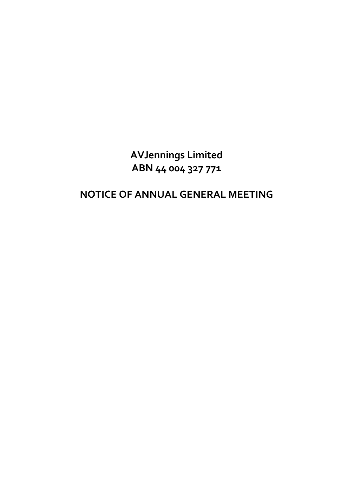**AVJennings Limited ABN 44 004 327 771** 

# **NOTICE OF ANNUAL GENERAL MEETING**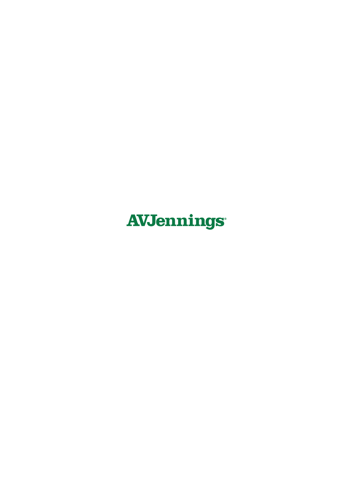# **AVJennings®**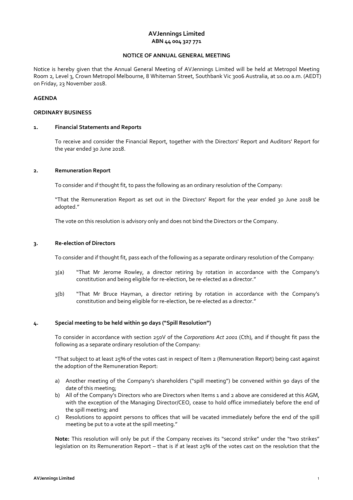# **AVJennings Limited ABN 44 004 327 771**

### **NOTICE OF ANNUAL GENERAL MEETING**

Notice is hereby given that the Annual General Meeting of AVJennings Limited will be held at Metropol Meeting Room 2, Level 3, Crown Metropol Melbourne, 8 Whiteman Street, Southbank Vic 3006 Australia, at 10.00 a.m. (AEDT) on Friday, 23 November 2018.

### **AGENDA**

### **ORDINARY BUSINESS**

### **1. Financial Statements and Reports**

To receive and consider the Financial Report, together with the Directors' Report and Auditors' Report for the year ended 30 June 2018.

### **2. Remuneration Report**

To consider and if thought fit, to pass the following as an ordinary resolution of the Company:

 "That the Remuneration Report as set out in the Directors' Report for the year ended 30 June 2018 be adopted."

The vote on this resolution is advisory only and does not bind the Directors or the Company.

### **3. Re-election of Directors**

To consider and if thought fit, pass each of the following as a separate ordinary resolution of the Company:

- 3(a) "That Mr Jerome Rowley, a director retiring by rotation in accordance with the Company's constitution and being eligible for re-election, be re-elected as a director."
- 3(b) "That Mr Bruce Hayman, a director retiring by rotation in accordance with the Company's constitution and being eligible for re-election, be re-elected as a director."

### **4. Special meeting to be held within 90 days ("Spill Resolution")**

 To consider in accordance with section 250V of the *Corporations Act 2001* (Cth), and if thought fit pass the following as a separate ordinary resolution of the Company:

 "That subject to at least 25% of the votes cast in respect of Item 2 (Remuneration Report) being cast against the adoption of the Remuneration Report:

- a) Another meeting of the Company's shareholders ("spill meeting") be convened within 90 days of the date of this meeting;
- b) All of the Company's Directors who are Directors when Items 1 and 2 above are considered at this AGM, with the exception of the Managing Director/CEO, cease to hold office immediately before the end of the spill meeting; and
- c) Resolutions to appoint persons to offices that will be vacated immediately before the end of the spill meeting be put to a vote at the spill meeting."

**Note:** This resolution will only be put if the Company receives its "second strike" under the "two strikes" legislation on its Remuneration Report – that is if at least 25% of the votes cast on the resolution that the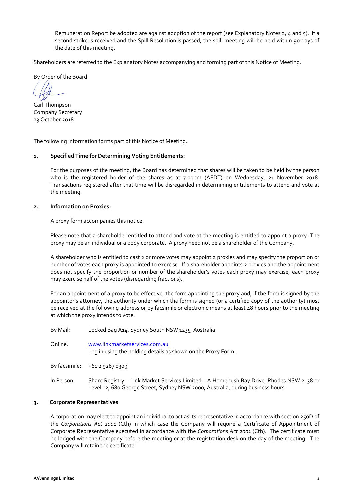Remuneration Report be adopted are against adoption of the report (see Explanatory Notes 2, 4 and 5). If a second strike is received and the Spill Resolution is passed, the spill meeting will be held within 90 days of the date of this meeting.

Shareholders are referred to the Explanatory Notes accompanying and forming part of this Notice of Meeting.

By Order of the Board

Carl Thompson Company Secretary 23 October 2018

The following information forms part of this Notice of Meeting.

### **1. Specified Time for Determining Voting Entitlements:**

For the purposes of the meeting, the Board has determined that shares will be taken to be held by the person who is the registered holder of the shares as at 7.00pm (AEDT) on Wednesday, 21 November 2018. Transactions registered after that time will be disregarded in determining entitlements to attend and vote at the meeting.

### **2. Information on Proxies:**

A proxy form accompanies this notice.

Please note that a shareholder entitled to attend and vote at the meeting is entitled to appoint a proxy. The proxy may be an individual or a body corporate. A proxy need not be a shareholder of the Company.

A shareholder who is entitled to cast 2 or more votes may appoint 2 proxies and may specify the proportion or number of votes each proxy is appointed to exercise. If a shareholder appoints 2 proxies and the appointment does not specify the proportion or number of the shareholder's votes each proxy may exercise, each proxy may exercise half of the votes (disregarding fractions).

For an appointment of a proxy to be effective, the form appointing the proxy and, if the form is signed by the appointor's attorney, the authority under which the form is signed (or a certified copy of the authority) must be received at the following address or by facsimile or electronic means at least 48 hours prior to the meeting at which the proxy intends to vote:

| By Mail:   | Locked Bag A14, Sydney South NSW 1235, Australia                                              |
|------------|-----------------------------------------------------------------------------------------------|
| Online:    | www.linkmarketservices.com.au<br>Log in using the holding details as shown on the Proxy Form. |
|            | By facsimile: $+61292870309$                                                                  |
| In Person: | Share Registry – Link Market Services Limited, 1A Homebush Bay                                |

# In Perive, Rhodes NSW 2138 or Level 12, 680 George Street, Sydney NSW 2000, Australia, during business hours.

### **3. Corporate Representatives**

A corporation may elect to appoint an individual to act as its representative in accordance with section 250D of the *Corporations Act 2001* (Cth) in which case the Company will require a Certificate of Appointment of Corporate Representative executed in accordance with the *Corporations Act 2001* (Cth).The certificate must be lodged with the Company before the meeting or at the registration desk on the day of the meeting. The Company will retain the certificate.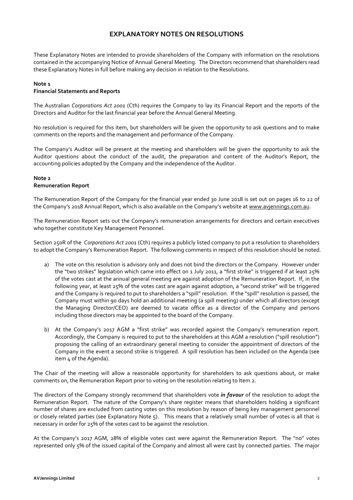# **EXPLANATORY NOTES ON RESOLUTIONS**

These Explanatory Notes are intended to provide shareholders of the Company with information on the resolutions contained in the accompanying Notice of Annual General Meeting. The Directors recommend that shareholders read these Explanatory Notes in full before making any decision in relation to the Resolutions.

### **Note 1**

### **Financial Statements and Reports**

The Australian *Corporations Act 2001* (Cth) requires the Company to lay its Financial Report and the reports of the Directors and Auditor for the last financial year before the Annual General Meeting.

No resolution is required for this item, but shareholders will be given the opportunity to ask questions and to make comments on the reports and the management and performance of the Company.

The Company's Auditor will be present at the meeting and shareholders will be given the opportunity to ask the Auditor questions about the conduct of the audit, the preparation and content of the Auditor's Report, the accounting policies adopted by the Company and the independence of the Auditor.

### **Note 2 Remuneration Report**

The Remuneration Report of the Company for the financial year ended 30 June 2018 is set out on pages 16 to 22 of the Company's 2018 Annual Report, which is also available on the Company's website at www.avjennings.com.au.

The Remuneration Report sets out the Company's remuneration arrangements for directors and certain executives who together constitute Key Management Personnel.

Section 250R of the *Corporations Act 2001* (Cth) requires a publicly listed company to put a resolution to shareholders to adopt the Company's Remuneration Report. The following comments in respect of this resolution should be noted.

- a) The vote on this resolution is advisory only and does not bind the directors or the Company. However under the "two strikes" legislation which came into effect on 1 July 2011, a "first strike" is triggered if at least 25% of the votes cast at the annual general meeting are against adoption of the Remuneration Report. If, in the following year, at least 25% of the votes cast are again against adoption, a "second strike" will be triggered and the Company is required to put to shareholders a "spill" resolution. If the "spill" resolution is passed, the Company must within 90 days hold an additional meeting (a spill meeting) under which all directors (except the Managing Director/CEO) are deemed to vacate office as a director of the Company and persons including those directors may be appointed to the board of the Company.
- b) At the Company's 2017 AGM a "first strike" was recorded against the Company's remuneration report. Accordingly, the Company is required to put to the shareholders at this AGM a resolution ("spill resolution") proposing the calling of an extraordinary general meeting to consider the appointment of directors of the Company in the event a second strike is triggered. A spill resolution has been included on the Agenda (see item 4 of the Agenda).

The Chair of the meeting will allow a reasonable opportunity for shareholders to ask questions about, or make comments on, the Remuneration Report prior to voting on the resolution relating to Item 2.

The directors of the Company strongly recommend that shareholders vote *in favour* of the resolution to adopt the Remuneration Report. The nature of the Company's share register means that shareholders holding a significant number of shares are excluded from casting votes on this resolution by reason of being key management personnel or closely related parties (see Explanatory Note 5). This means that a relatively small number of votes is all that is necessary in order for 25% of the votes cast to be against the resolution.

At the Company's 2017 AGM, 28% of eligible votes cast were against the Remuneration Report. The "no" votes represented only 5% of the issued capital of the Company and almost all were cast by connected parties. The major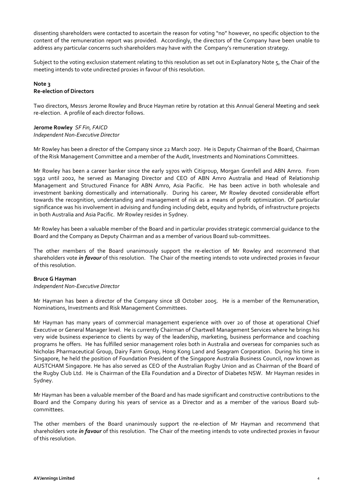dissenting shareholders were contacted to ascertain the reason for voting "no" however, no specific objection to the content of the remuneration report was provided. Accordingly, the directors of the Company have been unable to address any particular concerns such shareholders may have with the Company's remuneration strategy.

Subject to the voting exclusion statement relating to this resolution as set out in Explanatory Note 5, the Chair of the meeting intends to vote undirected proxies in favour of this resolution.

### **Note 3 Re-election of Directors**

Two directors, Messrs Jerome Rowley and Bruce Hayman retire by rotation at this Annual General Meeting and seek re-election. A profile of each director follows.

### **Jerome Rowley** *SF Fin, FAICD Independent Non-Executive Director*

Mr Rowley has been a director of the Company since 22 March 2007. He is Deputy Chairman of the Board, Chairman of the Risk Management Committee and a member of the Audit, Investments and Nominations Committees.

Mr Rowley has been a career banker since the early 1970s with Citigroup, Morgan Grenfell and ABN Amro. From 1992 until 2002, he served as Managing Director and CEO of ABN Amro Australia and Head of Relationship Management and Structured Finance for ABN Amro, Asia Pacific. He has been active in both wholesale and investment banking domestically and internationally. During his career, Mr Rowley devoted considerable effort towards the recognition, understanding and management of risk as a means of profit optimization. Of particular significance was his involvement in advising and funding including debt, equity and hybrids, of infrastructure projects in both Australia and Asia Pacific. Mr Rowley resides in Sydney.

Mr Rowley has been a valuable member of the Board and in particular provides strategic commercial guidance to the Board and the Company as Deputy Chairman and as a member of various Board sub-committees.

The other members of the Board unanimously support the re-election of Mr Rowley and recommend that shareholders vote *in favour* of this resolution. The Chair of the meeting intends to vote undirected proxies in favour of this resolution.

### **Bruce G Hayman**

*Independent Non-Executive Director* 

Mr Hayman has been a director of the Company since 18 October 2005. He is a member of the Remuneration, Nominations, Investments and Risk Management Committees.

Mr Hayman has many years of commercial management experience with over 20 of those at operational Chief Executive or General Manager level. He is currently Chairman of Chartwell Management Services where he brings his very wide business experience to clients by way of the leadership, marketing, business performance and coaching programs he offers. He has fulfilled senior management roles both in Australia and overseas for companies such as Nicholas Pharmaceutical Group, Dairy Farm Group, Hong Kong Land and Seagram Corporation. During his time in Singapore, he held the position of Foundation President of the Singapore Australia Business Council, now known as AUSTCHAM Singapore. He has also served as CEO of the Australian Rugby Union and as Chairman of the Board of the Rugby Club Ltd. He is Chairman of the Ella Foundation and a Director of Diabetes NSW. Mr Hayman resides in Sydney.

Mr Hayman has been a valuable member of the Board and has made significant and constructive contributions to the Board and the Company during his years of service as a Director and as a member of the various Board subcommittees.

The other members of the Board unanimously support the re-election of Mr Hayman and recommend that shareholders vote *in favour* of this resolution. The Chair of the meeting intends to vote undirected proxies in favour of this resolution.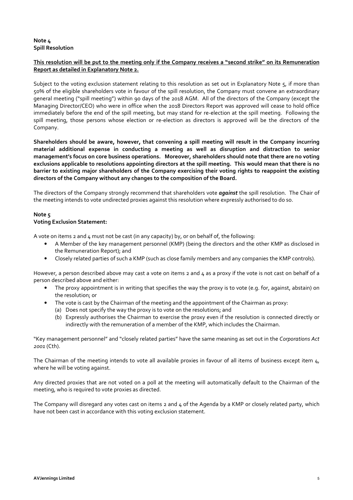# **Note 4 Spill Resolution**

# **This resolution will be put to the meeting only if the Company receives a "second strike" on its Remuneration Report as detailed in Explanatory Note 2.**

Subject to the voting exclusion statement relating to this resolution as set out in Explanatory Note 5, if more than 50% of the eligible shareholders vote in favour of the spill resolution, the Company must convene an extraordinary general meeting ("spill meeting") within 90 days of the 2018 AGM. All of the directors of the Company (except the Managing Director/CEO) who were in office when the 2018 Directors Report was approved will cease to hold office immediately before the end of the spill meeting, but may stand for re-election at the spill meeting. Following the spill meeting, those persons whose election or re-election as directors is approved will be the directors of the Company.

**Shareholders should be aware, however, that convening a spill meeting will result in the Company incurring material additional expense in conducting a meeting as well as disruption and distraction to senior management's focus on core business operations. Moreover, shareholders should note that there are no voting exclusions applicable to resolutions appointing directors at the spill meeting. This would mean that there is no barrier to existing major shareholders of the Company exercising their voting rights to reappoint the existing directors of the Company without any changes to the composition of the Board.**

The directors of the Company strongly recommend that shareholders vote *against* the spill resolution. The Chair of the meeting intends to vote undirected proxies against this resolution where expressly authorised to do so.

# **Note 5**

### **Voting Exclusion Statement:**

A vote on items 2 and 4 must not be cast (in any capacity) by, or on behalf of, the following:

- A Member of the key management personnel (KMP) (being the directors and the other KMP as disclosed in the Remuneration Report); and
- Closely related parties of such a KMP (such as close family members and any companies the KMP controls).

However, a person described above may cast a vote on items 2 and  $\mu$  as a proxy if the vote is not cast on behalf of a person described above and either:

- The proxy appointment is in writing that specifies the way the proxy is to vote (e.g. for, against, abstain) on the resolution; or
- The vote is cast by the Chairman of the meeting and the appointment of the Chairman as proxy:
	- (a) Does not specify the way the proxy is to vote on the resolutions; and
	- (b) Expressly authorises the Chairman to exercise the proxy even if the resolution is connected directly or indirectly with the remuneration of a member of the KMP, which includes the Chairman.

"Key management personnel" and "closely related parties" have the same meaning as set out in the *Corporations Act 2001* (Cth).

The Chairman of the meeting intends to vote all available proxies in favour of all items of business except item 4, where he will be voting against.

Any directed proxies that are not voted on a poll at the meeting will automatically default to the Chairman of the meeting, who is required to vote proxies as directed.

The Company will disregard any votes cast on items 2 and 4 of the Agenda by a KMP or closely related party, which have not been cast in accordance with this voting exclusion statement.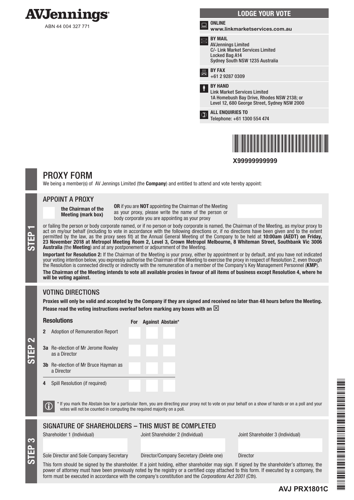

ABN 44 004 327 771

|   | <b>LODGE YOUR VOTE</b>                                                                                                                              |
|---|-----------------------------------------------------------------------------------------------------------------------------------------------------|
| ᇔ | <b>ONLINE</b><br>www.linkmarketservices.com.au                                                                                                      |
|   | <b>BY MAIL</b><br><b>AVJennings Limited</b><br>C/- Link Market Services Limited<br>Locked Bag A14<br>Sydney South NSW 1235 Australia                |
|   | <b>BY FAX</b><br>+61 2 9287 0309                                                                                                                    |
| ŧ | <b>BY HAND</b><br><b>Link Market Services Limited</b><br>1A Homebush Bay Drive, Rhodes NSW 2138; or<br>Level 12, 680 George Street, Sydney NSW 2000 |
|   | <b>ALL ENQUIRIES TO</b><br>Telephone: +61 1300 554 474                                                                                              |
|   |                                                                                                                                                     |



**X99999999999**

# PROXY FORM

We being a member(s) of AV Jennings Limited (the **Company**) and entitled to attend and vote hereby appoint:

### APPOINT A PROXY

the Chairman of the Meeting (mark box)

OR if you are NOT appointing the Chairman of the Meeting as your proxy, please write the name of the person or body corporate you are appointing as your proxy

or failing the person or body corporate named, or if no person or body corporate is named, the Chairman of the Meeting, as my/our proxy to act on my/our behalf (including to vote in accordance with the following directions act on my/our behalf (including to vote in accordance with the following directions or, if no directions have been given and to the extent permitted by the law, as the proxy sees fit) at the Annual General Meeting of the Company to be held at 10:00am (AEDT) on Friday, 23 November 2018 at Metropol Meeting Room 2, Level 3, Crown Metropol Melbourne, 8 Whiteman Street, Southbank Vic 3006 Australia (the Meeting) and at any postponement or adjournment of the Meeting.

Important for Resolution 2: If the Chairman of the Meeting is your proxy, either by appointment or by default, and you have not indicated your voting intention below, you expressly authorise the Chairman of the Meeting to exercise the proxy in respect of Resolution 2, even though the Resolution is connected directly or indirectly with the remuneration of a member of the Company's Key Management Personnel (KMP).

The Chairman of the Meeting intends to vote all available proxies in favour of all items of business except Resolution 4, where he will be voting against.

# VOTING DIRECTIONS

Proxies will only be valid and accepted by the Company if they are signed and received no later than 48 hours before the Meeting. Please read the voting instructions overleaf before marking any boxes with an  $\boxtimes$ 

**Resolutions** 

For Against Abstain\*

3a Re-election of Mr Jerome Rowley as a Director

2 Adoption of Remuneration Report

- 3b Re-election of Mr Bruce Hayman as a Director
- 4 Spill Resolution (if required)

 $\bigcirc$  \* If you mark the Abstain box for a particular Item, you are directing your proxy not to vote on your behalf on a show of hands or on a poll and your votes will not be counted in computing the required majority on a

# SIGNATURE OF SHAREHOLDERS – THIS MUST BE COMPLETED

S<br>EP 3

STEP 2

Shareholder 1 (Individual) Joint Shareholder 2 (Individual) Joint Shareholder 3 (Individual)

**AVJ PRX1801C**

#### Sole Director and Sole Company Secretary Director/Company Secretary (Delete one) Director

This form should be signed by the shareholder. If a joint holding, either shareholder may sign. If signed by the shareholder's attorney, the power of attorney must have been previously noted by the registry or a certified copy attached to this form. If executed by a company, the form must be executed in accordance with the company's constitution and the *Corporations Act 2001* (Cth).

FAVO PRINCIPAL PROVINCI PRINCIPAL PRINCIPAL PRINCIPAL PRINCIPAL PRINCIPAL PRINCIPAL PRINCIPAL PRINCIPAL PRINCIPAL PRINCIPAL PRINCIPAL PRINCIPAL PRINCIPAL PRINCIPAL PRINCIPAL PRINCIPAL PRINCIPAL PRINCIPAL PRINCIPAL PRINCIPA